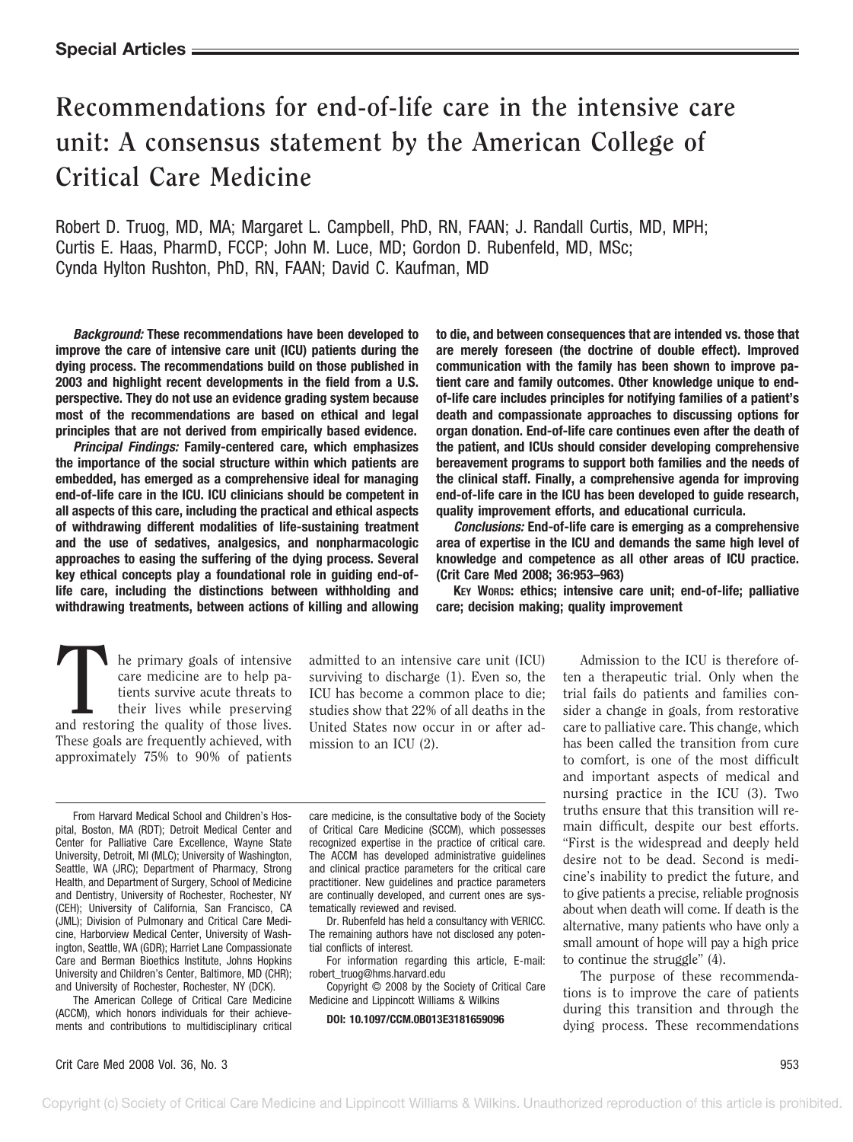# **Recommendations for end-of-life care in the intensive care unit: A consensus statement by the American College of Critical Care Medicine**

Robert D. Truog, MD, MA; Margaret L. Campbell, PhD, RN, FAAN; J. Randall Curtis, MD, MPH; Curtis E. Haas, PharmD, FCCP; John M. Luce, MD; Gordon D. Rubenfeld, MD, MSc; Cynda Hylton Rushton, PhD, RN, FAAN; David C. Kaufman, MD

*Background:* **These recommendations have been developed to improve the care of intensive care unit (ICU) patients during the dying process. The recommendations build on those published in 2003 and highlight recent developments in the field from a U.S. perspective. They do not use an evidence grading system because most of the recommendations are based on ethical and legal principles that are not derived from empirically based evidence.**

*Principal Findings:* **Family-centered care, which emphasizes the importance of the social structure within which patients are embedded, has emerged as a comprehensive ideal for managing end-of-life care in the ICU. ICU clinicians should be competent in all aspects of this care, including the practical and ethical aspects of withdrawing different modalities of life-sustaining treatment and the use of sedatives, analgesics, and nonpharmacologic approaches to easing the suffering of the dying process. Several key ethical concepts play a foundational role in guiding end-oflife care, including the distinctions between withholding and withdrawing treatments, between actions of killing and allowing** **of-life care includes principles for notifying families of a patient's death and compassionate approaches to discussing options for organ donation. End-of-life care continues even after the death of the patient, and ICUs should consider developing comprehensive bereavement programs to support both families and the needs of the clinical staff. Finally, a comprehensive agenda for improving end-of-life care in the ICU has been developed to guide research, quality improvement efforts, and educational curricula.** *Conclusions:* **End-of-life care is emerging as a comprehensive**

**area of expertise in the ICU and demands the same high level of knowledge and competence as all other areas of ICU practice. (Crit Care Med 2008; 36:953–963)**

**to die, and between consequences that are intended vs. those that are merely foreseen (the doctrine of double effect). Improved communication with the family has been shown to improve patient care and family outcomes. Other knowledge unique to end-**

**KEY WORDS: ethics; intensive care unit; end-of-life; palliative care; decision making; quality improvement**

The primary goals of intensive<br>care medicine are to help pa-<br>tients survive acute threats to<br>their lives while preserving<br>and restoring the quality of those lives. care medicine are to help patients survive acute threats to their lives while preserving These goals are frequently achieved, with approximately 75% to 90% of patients

admitted to an intensive care unit (ICU) surviving to discharge (1). Even so, the ICU has become a common place to die; studies show that 22% of all deaths in the United States now occur in or after admission to an ICU (2).

From Harvard Medical School and Children's Hospital, Boston, MA (RDT); Detroit Medical Center and Center for Palliative Care Excellence, Wayne State University, Detroit, MI (MLC); University of Washington, Seattle, WA (JRC); Department of Pharmacy, Strong Health, and Department of Surgery, School of Medicine and Dentistry, University of Rochester, Rochester, NY (CEH); University of California, San Francisco, CA (JML); Division of Pulmonary and Critical Care Medicine, Harborview Medical Center, University of Washington, Seattle, WA (GDR); Harriet Lane Compassionate Care and Berman Bioethics Institute, Johns Hopkins University and Children's Center, Baltimore, MD (CHR); and University of Rochester, Rochester, NY (DCK).

The American College of Critical Care Medicine (ACCM), which honors individuals for their achievements and contributions to multidisciplinary critical

care medicine, is the consultative body of the Society of Critical Care Medicine (SCCM), which possesses recognized expertise in the practice of critical care. The ACCM has developed administrative guidelines and clinical practice parameters for the critical care practitioner. New guidelines and practice parameters are continually developed, and current ones are systematically reviewed and revised.

Dr. Rubenfeld has held a consultancy with VERICC. The remaining authors have not disclosed any potential conflicts of interest.

For information regarding this article, E-mail: robert\_truog@hms.harvard.edu

Copyright © 2008 by the Society of Critical Care Medicine and Lippincott Williams & Wilkins

**DOI: 10.1097/CCM.0B013E3181659096**

Admission to the ICU is therefore often a therapeutic trial. Only when the trial fails do patients and families consider a change in goals, from restorative care to palliative care. This change, which has been called the transition from cure to comfort, is one of the most difficult and important aspects of medical and nursing practice in the ICU (3). Two truths ensure that this transition will remain difficult, despite our best efforts. "First is the widespread and deeply held desire not to be dead. Second is medicine's inability to predict the future, and to give patients a precise, reliable prognosis about when death will come. If death is the alternative, many patients who have only a small amount of hope will pay a high price to continue the struggle" (4).

The purpose of these recommendations is to improve the care of patients during this transition and through the dying process. These recommendations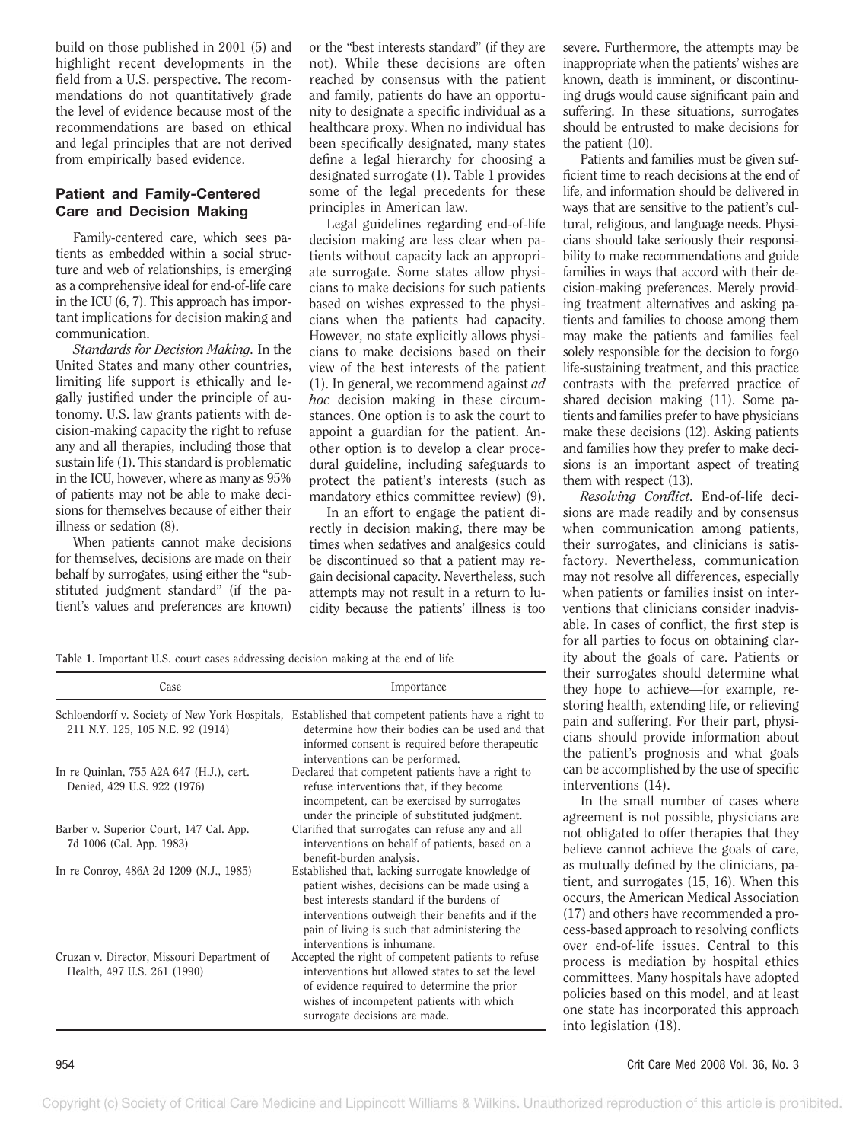build on those published in 2001 (5) and highlight recent developments in the field from a U.S. perspective. The recommendations do not quantitatively grade the level of evidence because most of the recommendations are based on ethical and legal principles that are not derived from empirically based evidence.

## **Patient and Family-Centered Care and Decision Making**

Family-centered care, which sees patients as embedded within a social structure and web of relationships, is emerging as a comprehensive ideal for end-of-life care in the ICU (6, 7). This approach has important implications for decision making and communication.

*Standards for Decision Making.* In the United States and many other countries, limiting life support is ethically and legally justified under the principle of autonomy. U.S. law grants patients with decision-making capacity the right to refuse any and all therapies, including those that sustain life (1). This standard is problematic in the ICU, however, where as many as 95% of patients may not be able to make decisions for themselves because of either their illness or sedation (8).

When patients cannot make decisions for themselves, decisions are made on their behalf by surrogates, using either the "substituted judgment standard" (if the patient's values and preferences are known)

or the "best interests standard" (if they are not). While these decisions are often reached by consensus with the patient and family, patients do have an opportunity to designate a specific individual as a healthcare proxy. When no individual has been specifically designated, many states define a legal hierarchy for choosing a designated surrogate (1). Table 1 provides some of the legal precedents for these principles in American law.

Legal guidelines regarding end-of-life decision making are less clear when patients without capacity lack an appropriate surrogate. Some states allow physicians to make decisions for such patients based on wishes expressed to the physicians when the patients had capacity. However, no state explicitly allows physicians to make decisions based on their view of the best interests of the patient (1). In general, we recommend against *ad hoc* decision making in these circumstances. One option is to ask the court to appoint a guardian for the patient. Another option is to develop a clear procedural guideline, including safeguards to protect the patient's interests (such as mandatory ethics committee review) (9).

In an effort to engage the patient directly in decision making, there may be times when sedatives and analgesics could be discontinued so that a patient may regain decisional capacity. Nevertheless, such attempts may not result in a return to lucidity because the patients' illness is too

**Table 1.** Important U.S. court cases addressing decision making at the end of life

| Case                                                                      | Importance                                                                                                                                                                                                                                                                        |  |  |  |
|---------------------------------------------------------------------------|-----------------------------------------------------------------------------------------------------------------------------------------------------------------------------------------------------------------------------------------------------------------------------------|--|--|--|
| 211 N.Y. 125, 105 N.E. 92 (1914)                                          | Schloendorff v. Society of New York Hospitals, Established that competent patients have a right to<br>determine how their bodies can be used and that<br>informed consent is required before therapeutic<br>interventions can be performed.                                       |  |  |  |
| In re Quinlan, 755 A2A 647 (H.J.), cert.<br>Denied, 429 U.S. 922 (1976)   | Declared that competent patients have a right to<br>refuse interventions that, if they become<br>incompetent, can be exercised by surrogates<br>under the principle of substituted judgment.                                                                                      |  |  |  |
| Barber v. Superior Court, 147 Cal. App.<br>7d 1006 (Cal. App. 1983)       | Clarified that surrogates can refuse any and all<br>interventions on behalf of patients, based on a<br>benefit-burden analysis.                                                                                                                                                   |  |  |  |
| In re Conroy, 486A 2d 1209 (N.J., 1985)                                   | Established that, lacking surrogate knowledge of<br>patient wishes, decisions can be made using a<br>best interests standard if the burdens of<br>interventions outweigh their benefits and if the<br>pain of living is such that administering the<br>interventions is inhumane. |  |  |  |
| Cruzan v. Director, Missouri Department of<br>Health, 497 U.S. 261 (1990) | Accepted the right of competent patients to refuse<br>interventions but allowed states to set the level<br>of evidence required to determine the prior<br>wishes of incompetent patients with which<br>surrogate decisions are made.                                              |  |  |  |

severe. Furthermore, the attempts may be inappropriate when the patients' wishes are known, death is imminent, or discontinuing drugs would cause significant pain and suffering. In these situations, surrogates should be entrusted to make decisions for the patient (10).

Patients and families must be given sufficient time to reach decisions at the end of life, and information should be delivered in ways that are sensitive to the patient's cultural, religious, and language needs. Physicians should take seriously their responsibility to make recommendations and guide families in ways that accord with their decision-making preferences. Merely providing treatment alternatives and asking patients and families to choose among them may make the patients and families feel solely responsible for the decision to forgo life-sustaining treatment, and this practice contrasts with the preferred practice of shared decision making (11). Some patients and families prefer to have physicians make these decisions (12). Asking patients and families how they prefer to make decisions is an important aspect of treating them with respect (13).

*Resolving Conflict.* End-of-life decisions are made readily and by consensus when communication among patients, their surrogates, and clinicians is satisfactory. Nevertheless, communication may not resolve all differences, especially when patients or families insist on interventions that clinicians consider inadvisable. In cases of conflict, the first step is for all parties to focus on obtaining clarity about the goals of care. Patients or their surrogates should determine what they hope to achieve—for example, restoring health, extending life, or relieving pain and suffering. For their part, physicians should provide information about the patient's prognosis and what goals can be accomplished by the use of specific interventions (14).

In the small number of cases where agreement is not possible, physicians are not obligated to offer therapies that they believe cannot achieve the goals of care, as mutually defined by the clinicians, patient, and surrogates (15, 16). When this occurs, the American Medical Association (17) and others have recommended a process-based approach to resolving conflicts over end-of-life issues. Central to this process is mediation by hospital ethics committees. Many hospitals have adopted policies based on this model, and at least one state has incorporated this approach into legislation (18).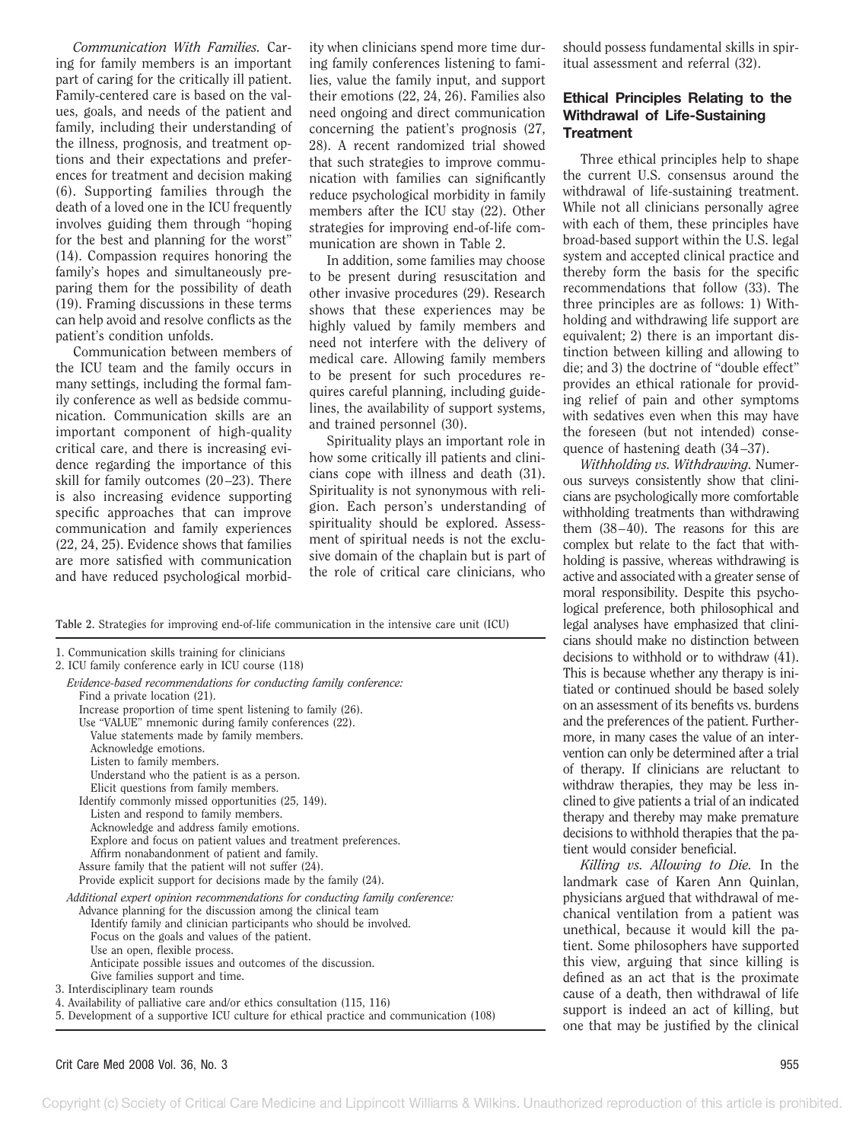*Communication With Families.* Caring for family members is an important part of caring for the critically ill patient. Family-centered care is based on the values, goals, and needs of the patient and family, including their understanding of the illness, prognosis, and treatment options and their expectations and preferences for treatment and decision making (6). Supporting families through the death of a loved one in the ICU frequently involves guiding them through "hoping for the best and planning for the worst" (14). Compassion requires honoring the family's hopes and simultaneously preparing them for the possibility of death (19). Framing discussions in these terms can help avoid and resolve conflicts as the patient's condition unfolds.

Communication between members of the ICU team and the family occurs in many settings, including the formal family conference as well as bedside communication. Communication skills are an important component of high-quality critical care, and there is increasing evidence regarding the importance of this skill for family outcomes  $(20-23)$ . There is also increasing evidence supporting specific approaches that can improve communication and family experiences (22, 24, 25). Evidence shows that families are more satisfied with communication and have reduced psychological morbidity when clinicians spend more time during family conferences listening to families, value the family input, and support their emotions (22, 24, 26). Families also need ongoing and direct communication concerning the patient's prognosis (27, 28). A recent randomized trial showed that such strategies to improve communication with families can significantly reduce psychological morbidity in family members after the ICU stay (22). Other strategies for improving end-of-life communication are shown in Table 2.

In addition, some families may choose to be present during resuscitation and other invasive procedures (29). Research shows that these experiences may be highly valued by family members and need not interfere with the delivery of medical care. Allowing family members to be present for such procedures requires careful planning, including guidelines, the availability of support systems, and trained personnel (30).

Spirituality plays an important role in how some critically ill patients and clinicians cope with illness and death (31). Spirituality is not synonymous with religion. Each person's understanding of spirituality should be explored. Assessment of spiritual needs is not the exclusive domain of the chaplain but is part of the role of critical care clinicians, who

**Table 2.** Strategies for improving end-of-life communication in the intensive care unit (ICU)

| 1. Communication skills training for clinicians<br>2. ICU family conference early in ICU course (118)                                                                                                                                                                                                                                                                                                                                                                                                                                                                                                                                                                                                                                 |  |
|---------------------------------------------------------------------------------------------------------------------------------------------------------------------------------------------------------------------------------------------------------------------------------------------------------------------------------------------------------------------------------------------------------------------------------------------------------------------------------------------------------------------------------------------------------------------------------------------------------------------------------------------------------------------------------------------------------------------------------------|--|
| Evidence-based recommendations for conducting family conference:<br>Find a private location (21).<br>Increase proportion of time spent listening to family (26).<br>Use "VALUE" mnemonic during family conferences (22).<br>Value statements made by family members.<br>Acknowledge emotions.<br>Listen to family members.<br>Understand who the patient is as a person.<br>Elicit questions from family members.<br>Identify commonly missed opportunities (25, 149).<br>Listen and respond to family members.<br>Acknowledge and address family emotions.<br>Explore and focus on patient values and treatment preferences.<br>Affirm nonabandonment of patient and family.<br>Assure family that the patient will not suffer (24). |  |
| Provide explicit support for decisions made by the family (24).                                                                                                                                                                                                                                                                                                                                                                                                                                                                                                                                                                                                                                                                       |  |
| Additional expert opinion recommendations for conducting family conference:<br>Advance planning for the discussion among the clinical team<br>Identify family and clinician participants who should be involved.<br>Focus on the goals and values of the patient.<br>Use an open, flexible process.<br>Anticipate possible issues and outcomes of the discussion.<br>Give families support and time.<br>3. Interdisciplinary team rounds<br>4. Availability of palliative care and/or ethics consultation (115, 116)<br>5. Development of a supportive ICU culture for ethical practice and communication (108)                                                                                                                       |  |

should possess fundamental skills in spiritual assessment and referral (32).

## **Ethical Principles Relating to the Withdrawal of Life-Sustaining Treatment**

Three ethical principles help to shape the current U.S. consensus around the withdrawal of life-sustaining treatment. While not all clinicians personally agree with each of them, these principles have broad-based support within the U.S. legal system and accepted clinical practice and thereby form the basis for the specific recommendations that follow (33). The three principles are as follows: 1) Withholding and withdrawing life support are equivalent; 2) there is an important distinction between killing and allowing to die; and 3) the doctrine of "double effect" provides an ethical rationale for providing relief of pain and other symptoms with sedatives even when this may have the foreseen (but not intended) consequence of hastening death (34 –37).

*Withholding vs. Withdrawing.* Numerous surveys consistently show that clinicians are psychologically more comfortable withholding treatments than withdrawing them  $(38-40)$ . The reasons for this are complex but relate to the fact that withholding is passive, whereas withdrawing is active and associated with a greater sense of moral responsibility. Despite this psychological preference, both philosophical and legal analyses have emphasized that clinicians should make no distinction between decisions to withhold or to withdraw (41). This is because whether any therapy is initiated or continued should be based solely on an assessment of its benefits vs. burdens and the preferences of the patient. Furthermore, in many cases the value of an intervention can only be determined after a trial of therapy. If clinicians are reluctant to withdraw therapies, they may be less inclined to give patients a trial of an indicated therapy and thereby may make premature decisions to withhold therapies that the patient would consider beneficial.

*Killing vs. Allowing to Die.* In the landmark case of Karen Ann Quinlan, physicians argued that withdrawal of mechanical ventilation from a patient was unethical, because it would kill the patient. Some philosophers have supported this view, arguing that since killing is defined as an act that is the proximate cause of a death, then withdrawal of life support is indeed an act of killing, but one that may be justified by the clinical

#### Crit Care Med 2008 Vol. 36, No. 3 955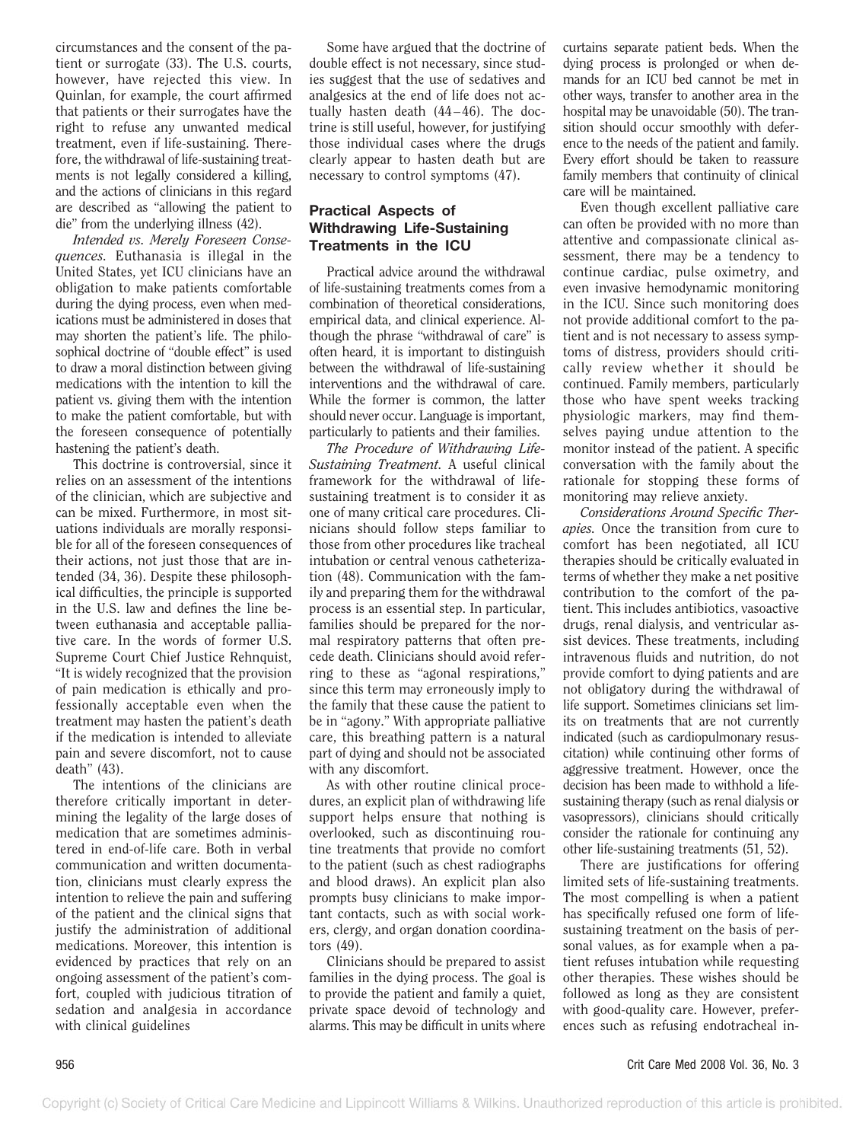circumstances and the consent of the patient or surrogate (33). The U.S. courts, however, have rejected this view. In Quinlan, for example, the court affirmed that patients or their surrogates have the right to refuse any unwanted medical treatment, even if life-sustaining. Therefore, the withdrawal of life-sustaining treatments is not legally considered a killing, and the actions of clinicians in this regard are described as "allowing the patient to die" from the underlying illness (42).

*Intended vs. Merely Foreseen Consequences.* Euthanasia is illegal in the United States, yet ICU clinicians have an obligation to make patients comfortable during the dying process, even when medications must be administered in doses that may shorten the patient's life. The philosophical doctrine of "double effect" is used to draw a moral distinction between giving medications with the intention to kill the patient vs. giving them with the intention to make the patient comfortable, but with the foreseen consequence of potentially hastening the patient's death.

This doctrine is controversial, since it relies on an assessment of the intentions of the clinician, which are subjective and can be mixed. Furthermore, in most situations individuals are morally responsible for all of the foreseen consequences of their actions, not just those that are intended (34, 36). Despite these philosophical difficulties, the principle is supported in the U.S. law and defines the line between euthanasia and acceptable palliative care. In the words of former U.S. Supreme Court Chief Justice Rehnquist, "It is widely recognized that the provision of pain medication is ethically and professionally acceptable even when the treatment may hasten the patient's death if the medication is intended to alleviate pain and severe discomfort, not to cause death" (43).

The intentions of the clinicians are therefore critically important in determining the legality of the large doses of medication that are sometimes administered in end-of-life care. Both in verbal communication and written documentation, clinicians must clearly express the intention to relieve the pain and suffering of the patient and the clinical signs that justify the administration of additional medications. Moreover, this intention is evidenced by practices that rely on an ongoing assessment of the patient's comfort, coupled with judicious titration of sedation and analgesia in accordance with clinical guidelines

Some have argued that the doctrine of double effect is not necessary, since studies suggest that the use of sedatives and analgesics at the end of life does not actually hasten death  $(44-46)$ . The doctrine is still useful, however, for justifying those individual cases where the drugs clearly appear to hasten death but are necessary to control symptoms (47).

## **Practical Aspects of Withdrawing Life-Sustaining Treatments in the ICU**

Practical advice around the withdrawal of life-sustaining treatments comes from a combination of theoretical considerations, empirical data, and clinical experience. Although the phrase "withdrawal of care" is often heard, it is important to distinguish between the withdrawal of life-sustaining interventions and the withdrawal of care. While the former is common, the latter should never occur. Language is important, particularly to patients and their families.

*The Procedure of Withdrawing Life-Sustaining Treatment.* A useful clinical framework for the withdrawal of lifesustaining treatment is to consider it as one of many critical care procedures. Clinicians should follow steps familiar to those from other procedures like tracheal intubation or central venous catheterization (48). Communication with the family and preparing them for the withdrawal process is an essential step. In particular, families should be prepared for the normal respiratory patterns that often precede death. Clinicians should avoid referring to these as "agonal respirations," since this term may erroneously imply to the family that these cause the patient to be in "agony." With appropriate palliative care, this breathing pattern is a natural part of dying and should not be associated with any discomfort.

As with other routine clinical procedures, an explicit plan of withdrawing life support helps ensure that nothing is overlooked, such as discontinuing routine treatments that provide no comfort to the patient (such as chest radiographs and blood draws). An explicit plan also prompts busy clinicians to make important contacts, such as with social workers, clergy, and organ donation coordinators (49).

Clinicians should be prepared to assist families in the dying process. The goal is to provide the patient and family a quiet, private space devoid of technology and alarms. This may be difficult in units where curtains separate patient beds. When the dying process is prolonged or when demands for an ICU bed cannot be met in other ways, transfer to another area in the hospital may be unavoidable (50). The transition should occur smoothly with deference to the needs of the patient and family. Every effort should be taken to reassure family members that continuity of clinical care will be maintained.

Even though excellent palliative care can often be provided with no more than attentive and compassionate clinical assessment, there may be a tendency to continue cardiac, pulse oximetry, and even invasive hemodynamic monitoring in the ICU. Since such monitoring does not provide additional comfort to the patient and is not necessary to assess symptoms of distress, providers should critically review whether it should be continued. Family members, particularly those who have spent weeks tracking physiologic markers, may find themselves paying undue attention to the monitor instead of the patient. A specific conversation with the family about the rationale for stopping these forms of monitoring may relieve anxiety.

*Considerations Around Specific Therapies.* Once the transition from cure to comfort has been negotiated, all ICU therapies should be critically evaluated in terms of whether they make a net positive contribution to the comfort of the patient. This includes antibiotics, vasoactive drugs, renal dialysis, and ventricular assist devices. These treatments, including intravenous fluids and nutrition, do not provide comfort to dying patients and are not obligatory during the withdrawal of life support. Sometimes clinicians set limits on treatments that are not currently indicated (such as cardiopulmonary resuscitation) while continuing other forms of aggressive treatment. However, once the decision has been made to withhold a lifesustaining therapy (such as renal dialysis or vasopressors), clinicians should critically consider the rationale for continuing any other life-sustaining treatments (51, 52).

There are justifications for offering limited sets of life-sustaining treatments. The most compelling is when a patient has specifically refused one form of lifesustaining treatment on the basis of personal values, as for example when a patient refuses intubation while requesting other therapies. These wishes should be followed as long as they are consistent with good-quality care. However, preferences such as refusing endotracheal in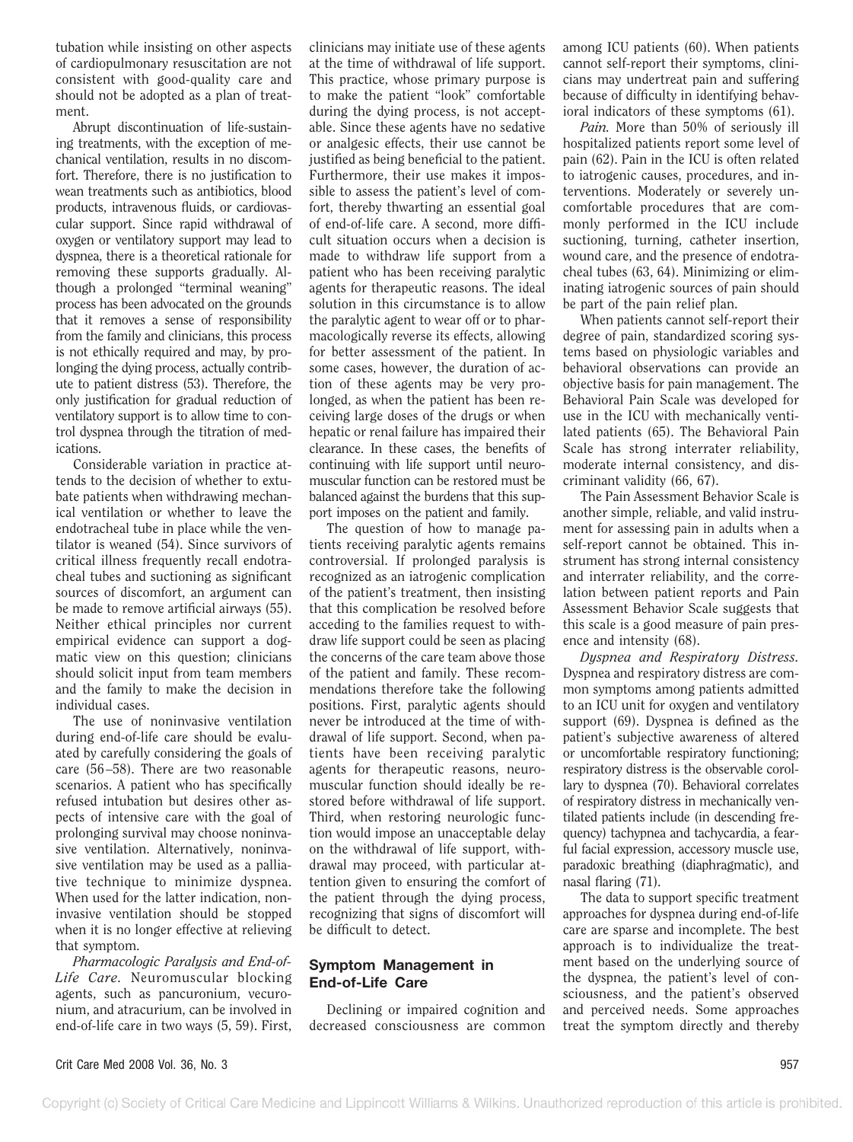tubation while insisting on other aspects of cardiopulmonary resuscitation are not consistent with good-quality care and should not be adopted as a plan of treatment.

Abrupt discontinuation of life-sustaining treatments, with the exception of mechanical ventilation, results in no discomfort. Therefore, there is no justification to wean treatments such as antibiotics, blood products, intravenous fluids, or cardiovascular support. Since rapid withdrawal of oxygen or ventilatory support may lead to dyspnea, there is a theoretical rationale for removing these supports gradually. Although a prolonged "terminal weaning" process has been advocated on the grounds that it removes a sense of responsibility from the family and clinicians, this process is not ethically required and may, by prolonging the dying process, actually contribute to patient distress (53). Therefore, the only justification for gradual reduction of ventilatory support is to allow time to control dyspnea through the titration of medications.

Considerable variation in practice attends to the decision of whether to extubate patients when withdrawing mechanical ventilation or whether to leave the endotracheal tube in place while the ventilator is weaned (54). Since survivors of critical illness frequently recall endotracheal tubes and suctioning as significant sources of discomfort, an argument can be made to remove artificial airways (55). Neither ethical principles nor current empirical evidence can support a dogmatic view on this question; clinicians should solicit input from team members and the family to make the decision in individual cases.

The use of noninvasive ventilation during end-of-life care should be evaluated by carefully considering the goals of care (56 –58). There are two reasonable scenarios. A patient who has specifically refused intubation but desires other aspects of intensive care with the goal of prolonging survival may choose noninvasive ventilation. Alternatively, noninvasive ventilation may be used as a palliative technique to minimize dyspnea. When used for the latter indication, noninvasive ventilation should be stopped when it is no longer effective at relieving that symptom.

*Pharmacologic Paralysis and End-of-Life Care.* Neuromuscular blocking agents, such as pancuronium, vecuronium, and atracurium, can be involved in end-of-life care in two ways (5, 59). First,

clinicians may initiate use of these agents at the time of withdrawal of life support. This practice, whose primary purpose is to make the patient "look" comfortable during the dying process, is not acceptable. Since these agents have no sedative or analgesic effects, their use cannot be justified as being beneficial to the patient. Furthermore, their use makes it impossible to assess the patient's level of comfort, thereby thwarting an essential goal of end-of-life care. A second, more difficult situation occurs when a decision is made to withdraw life support from a patient who has been receiving paralytic agents for therapeutic reasons. The ideal solution in this circumstance is to allow the paralytic agent to wear off or to pharmacologically reverse its effects, allowing for better assessment of the patient. In some cases, however, the duration of action of these agents may be very prolonged, as when the patient has been receiving large doses of the drugs or when hepatic or renal failure has impaired their clearance. In these cases, the benefits of continuing with life support until neuromuscular function can be restored must be balanced against the burdens that this support imposes on the patient and family.

The question of how to manage patients receiving paralytic agents remains controversial. If prolonged paralysis is recognized as an iatrogenic complication of the patient's treatment, then insisting that this complication be resolved before acceding to the families request to withdraw life support could be seen as placing the concerns of the care team above those of the patient and family. These recommendations therefore take the following positions. First, paralytic agents should never be introduced at the time of withdrawal of life support. Second, when patients have been receiving paralytic agents for therapeutic reasons, neuromuscular function should ideally be restored before withdrawal of life support. Third, when restoring neurologic function would impose an unacceptable delay on the withdrawal of life support, withdrawal may proceed, with particular attention given to ensuring the comfort of the patient through the dying process, recognizing that signs of discomfort will be difficult to detect.

## **Symptom Management in End-of-Life Care**

Declining or impaired cognition and decreased consciousness are common among ICU patients (60). When patients cannot self-report their symptoms, clinicians may undertreat pain and suffering because of difficulty in identifying behavioral indicators of these symptoms (61).

*Pain.* More than 50% of seriously ill hospitalized patients report some level of pain (62). Pain in the ICU is often related to iatrogenic causes, procedures, and interventions. Moderately or severely uncomfortable procedures that are commonly performed in the ICU include suctioning, turning, catheter insertion, wound care, and the presence of endotracheal tubes (63, 64). Minimizing or eliminating iatrogenic sources of pain should be part of the pain relief plan.

When patients cannot self-report their degree of pain, standardized scoring systems based on physiologic variables and behavioral observations can provide an objective basis for pain management. The Behavioral Pain Scale was developed for use in the ICU with mechanically ventilated patients (65). The Behavioral Pain Scale has strong interrater reliability, moderate internal consistency, and discriminant validity (66, 67).

The Pain Assessment Behavior Scale is another simple, reliable, and valid instrument for assessing pain in adults when a self-report cannot be obtained. This instrument has strong internal consistency and interrater reliability, and the correlation between patient reports and Pain Assessment Behavior Scale suggests that this scale is a good measure of pain presence and intensity (68).

*Dyspnea and Respiratory Distress.* Dyspnea and respiratory distress are common symptoms among patients admitted to an ICU unit for oxygen and ventilatory support (69). Dyspnea is defined as the patient's subjective awareness of altered or uncomfortable respiratory functioning; respiratory distress is the observable corollary to dyspnea (70). Behavioral correlates of respiratory distress in mechanically ventilated patients include (in descending frequency) tachypnea and tachycardia, a fearful facial expression, accessory muscle use, paradoxic breathing (diaphragmatic), and nasal flaring (71).

The data to support specific treatment approaches for dyspnea during end-of-life care are sparse and incomplete. The best approach is to individualize the treatment based on the underlying source of the dyspnea, the patient's level of consciousness, and the patient's observed and perceived needs. Some approaches treat the symptom directly and thereby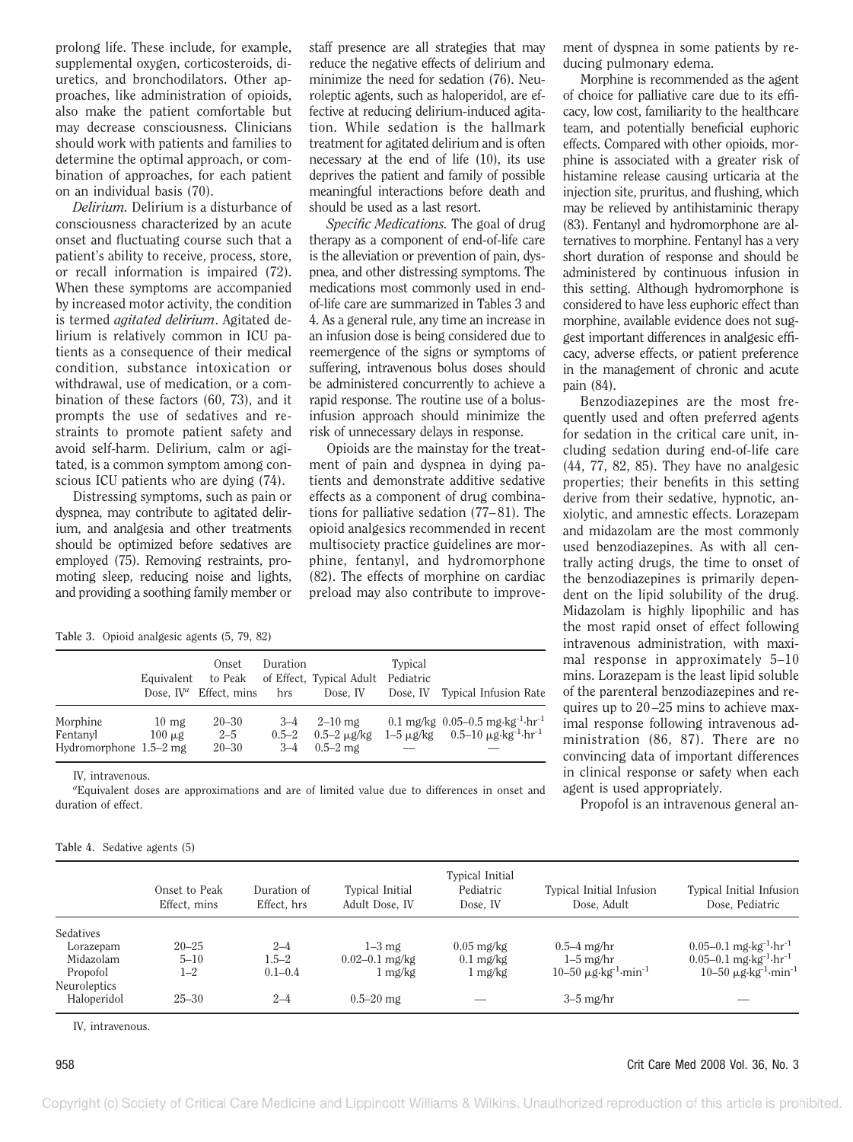prolong life. These include, for example, supplemental oxygen, corticosteroids, diuretics, and bronchodilators. Other approaches, like administration of opioids, also make the patient comfortable but may decrease consciousness. Clinicians should work with patients and families to determine the optimal approach, or combination of approaches, for each patient on an individual basis (70).

*Delirium.* Delirium is a disturbance of consciousness characterized by an acute onset and fluctuating course such that a patient's ability to receive, process, store, or recall information is impaired (72). When these symptoms are accompanied by increased motor activity, the condition is termed *agitated delirium*. Agitated delirium is relatively common in ICU patients as a consequence of their medical condition, substance intoxication or withdrawal, use of medication, or a combination of these factors (60, 73), and it prompts the use of sedatives and restraints to promote patient safety and avoid self-harm. Delirium, calm or agitated, is a common symptom among conscious ICU patients who are dying (74).

Distressing symptoms, such as pain or dyspnea, may contribute to agitated delirium, and analgesia and other treatments should be optimized before sedatives are employed (75). Removing restraints, promoting sleep, reducing noise and lights, and providing a soothing family member or

staff presence are all strategies that may reduce the negative effects of delirium and minimize the need for sedation (76). Neuroleptic agents, such as haloperidol, are effective at reducing delirium-induced agitation. While sedation is the hallmark treatment for agitated delirium and is often necessary at the end of life (10), its use deprives the patient and family of possible meaningful interactions before death and should be used as a last resort.

*Specific Medications.* The goal of drug therapy as a component of end-of-life care is the alleviation or prevention of pain, dyspnea, and other distressing symptoms. The medications most commonly used in endof-life care are summarized in Tables 3 and 4. As a general rule, any time an increase in an infusion dose is being considered due to reemergence of the signs or symptoms of suffering, intravenous bolus doses should be administered concurrently to achieve a rapid response. The routine use of a bolusinfusion approach should minimize the risk of unnecessary delays in response.

Opioids are the mainstay for the treatment of pain and dyspnea in dying patients and demonstrate additive sedative effects as a component of drug combinations for palliative sedation  $(77-81)$ . The opioid analgesics recommended in recent multisociety practice guidelines are morphine, fentanyl, and hydromorphone (82). The effects of morphine on cardiac preload may also contribute to improvement of dyspnea in some patients by reducing pulmonary edema.

Morphine is recommended as the agent of choice for palliative care due to its efficacy, low cost, familiarity to the healthcare team, and potentially beneficial euphoric effects. Compared with other opioids, morphine is associated with a greater risk of histamine release causing urticaria at the injection site, pruritus, and flushing, which may be relieved by antihistaminic therapy (83). Fentanyl and hydromorphone are alternatives to morphine. Fentanyl has a very short duration of response and should be administered by continuous infusion in this setting. Although hydromorphone is considered to have less euphoric effect than morphine, available evidence does not suggest important differences in analgesic efficacy, adverse effects, or patient preference in the management of chronic and acute pain (84).

Benzodiazepines are the most frequently used and often preferred agents for sedation in the critical care unit, including sedation during end-of-life care (44, 77, 82, 85). They have no analgesic properties; their benefits in this setting derive from their sedative, hypnotic, anxiolytic, and amnestic effects. Lorazepam and midazolam are the most commonly used benzodiazepines. As with all centrally acting drugs, the time to onset of the benzodiazepines is primarily dependent on the lipid solubility of the drug. Midazolam is highly lipophilic and has the most rapid onset of effect following intravenous administration, with maximal response in approximately 5–10 mins. Lorazepam is the least lipid soluble of the parenteral benzodiazepines and requires up to 20 –25 mins to achieve maximal response following intravenous administration (86, 87). There are no convincing data of important differences in clinical response or safety when each agent is used appropriately.

**Table 3.** Opioid analgesic agents (5, 79, 82)

|                                                  | Equivalent                     | Onset<br>to Peak<br>Dose, $IV^a$ Effect, mins | Duration<br>hrs               | of Effect, Typical Adult Pediatric<br>Dose, IV                   | Typical<br>Dose, IV | Typical Infusion Rate                                                                                                          |
|--------------------------------------------------|--------------------------------|-----------------------------------------------|-------------------------------|------------------------------------------------------------------|---------------------|--------------------------------------------------------------------------------------------------------------------------------|
| Morphine<br>Fentanyl<br>Hydromorphone $1.5-2$ mg | $10 \text{ mg}$<br>$100 \mu g$ | $20 - 30$<br>$2 - 5$<br>$20 - 30$             | $3 - 4$<br>$0.5 - 2$<br>$3-4$ | $2\text{--}10$ mg<br>$0.5 - 2 \mu$ g/kg<br>$0.5 - 2 \text{ m}$ g |                     | 0.1 mg/kg $0.05-0.5$ mg·kg <sup>-1</sup> ·hr <sup>-1</sup><br>$1-5 \mu$ g/kg $0.5-10 \mu$ g·kg <sup>-1</sup> ·hr <sup>-1</sup> |

IV, intravenous.

*a* Equivalent doses are approximations and are of limited value due to differences in onset and duration of effect.

#### **Table 4.** Sedative agents (5)

Propofol is an intravenous general an-

|                     | Onset to Peak<br>Effect, mins | Duration of<br>Effect, hrs | Typical Initial<br>Adult Dose, IV | Typical Initial<br>Pediatric<br>Dose, IV | Typical Initial Infusion<br>Dose, Adult           | Typical Initial Infusion<br>Dose, Pediatric                       |
|---------------------|-------------------------------|----------------------------|-----------------------------------|------------------------------------------|---------------------------------------------------|-------------------------------------------------------------------|
| Sedatives           |                               |                            |                                   |                                          |                                                   |                                                                   |
| Lorazepam           | $20 - 25$                     | $2 - 4$                    | $1-3$ mg                          | $0.05 \text{ mg/kg}$                     | $0.5-4$ mg/hr                                     | $0.05 - 0.1$ mg·kg <sup>-1</sup> ·hr <sup>-1</sup>                |
| Midazolam           | $5 - 10$                      | $1.5 - 2$                  | $0.02 - 0.1$ mg/kg                | $0.1 \text{ mg/kg}$                      | $1-5$ mg/hr                                       | $0.05 - 0.1$ mg $\cdot$ kg <sup>-1</sup> $\cdot$ hr <sup>-1</sup> |
| Propofol            | $1 - 2$                       | $0.1 - 0.4$                | 1 mg/kg                           | $1 \text{ mg/kg}$                        | $10-50 \mu$ g·kg <sup>-1</sup> ·min <sup>-1</sup> | $10-50 \mu$ g·kg <sup>-1</sup> ·min <sup>-1</sup>                 |
| <b>Neuroleptics</b> |                               |                            |                                   |                                          |                                                   |                                                                   |
| Haloperidol         | $25 - 30$                     | $2 - 4$                    | $0.5 - 20$ mg                     |                                          | $3-5$ mg/hr                                       |                                                                   |

IV, intravenous.

#### 958 Crit Care Med 2008 Vol. 36, No. 3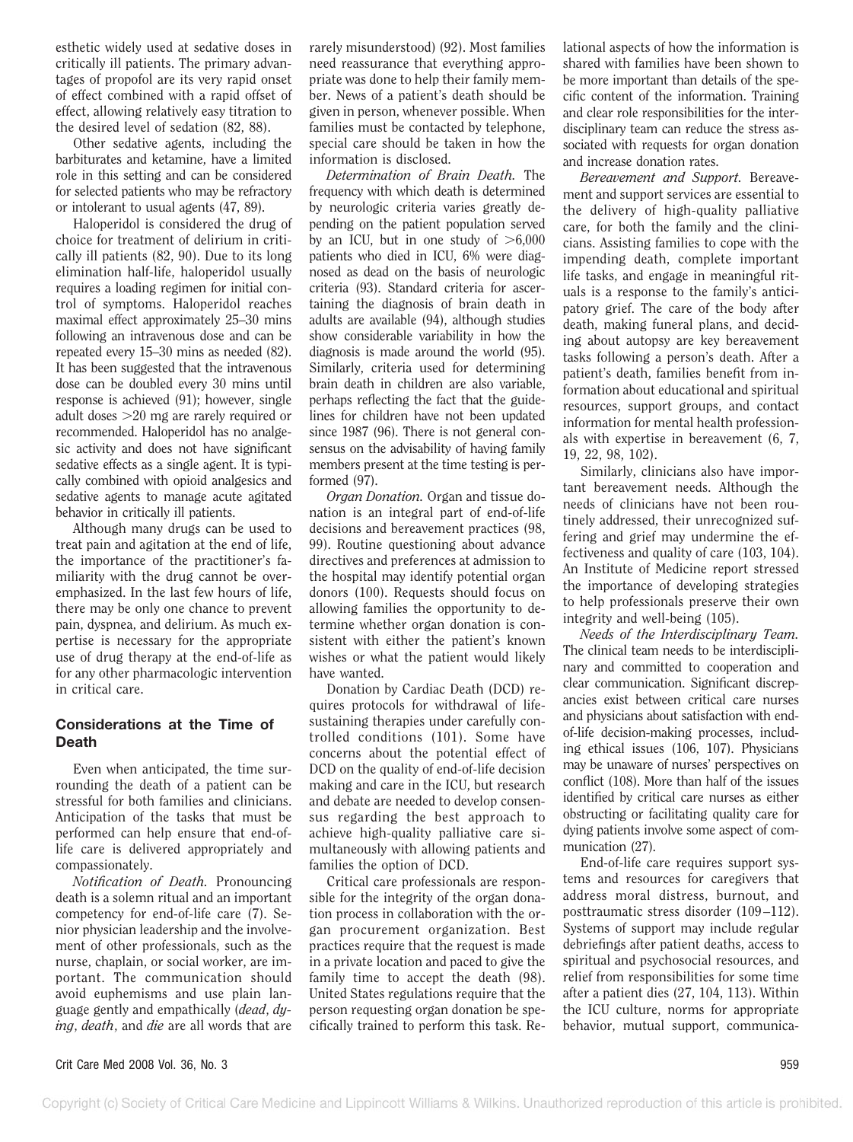esthetic widely used at sedative doses in critically ill patients. The primary advantages of propofol are its very rapid onset of effect combined with a rapid offset of effect, allowing relatively easy titration to the desired level of sedation (82, 88).

Other sedative agents, including the barbiturates and ketamine, have a limited role in this setting and can be considered for selected patients who may be refractory or intolerant to usual agents (47, 89).

Haloperidol is considered the drug of choice for treatment of delirium in critically ill patients (82, 90). Due to its long elimination half-life, haloperidol usually requires a loading regimen for initial control of symptoms. Haloperidol reaches maximal effect approximately 25–30 mins following an intravenous dose and can be repeated every 15–30 mins as needed (82). It has been suggested that the intravenous dose can be doubled every 30 mins until response is achieved (91); however, single adult doses -20 mg are rarely required or recommended. Haloperidol has no analgesic activity and does not have significant sedative effects as a single agent. It is typically combined with opioid analgesics and sedative agents to manage acute agitated behavior in critically ill patients.

Although many drugs can be used to treat pain and agitation at the end of life, the importance of the practitioner's familiarity with the drug cannot be overemphasized. In the last few hours of life, there may be only one chance to prevent pain, dyspnea, and delirium. As much expertise is necessary for the appropriate use of drug therapy at the end-of-life as for any other pharmacologic intervention in critical care.

## **Considerations at the Time of Death**

Even when anticipated, the time surrounding the death of a patient can be stressful for both families and clinicians. Anticipation of the tasks that must be performed can help ensure that end-oflife care is delivered appropriately and compassionately.

*Notification of Death.* Pronouncing death is a solemn ritual and an important competency for end-of-life care (7). Senior physician leadership and the involvement of other professionals, such as the nurse, chaplain, or social worker, are important. The communication should avoid euphemisms and use plain language gently and empathically (*dead*, *dying*, *death*, and *die* are all words that are

rarely misunderstood) (92). Most families need reassurance that everything appropriate was done to help their family member. News of a patient's death should be given in person, whenever possible. When families must be contacted by telephone, special care should be taken in how the information is disclosed.

*Determination of Brain Death.* The frequency with which death is determined by neurologic criteria varies greatly depending on the patient population served by an ICU, but in one study of  $>6,000$ patients who died in ICU, 6% were diagnosed as dead on the basis of neurologic criteria (93). Standard criteria for ascertaining the diagnosis of brain death in adults are available (94), although studies show considerable variability in how the diagnosis is made around the world (95). Similarly, criteria used for determining brain death in children are also variable, perhaps reflecting the fact that the guidelines for children have not been updated since 1987 (96). There is not general consensus on the advisability of having family members present at the time testing is performed (97).

*Organ Donation.* Organ and tissue donation is an integral part of end-of-life decisions and bereavement practices (98, 99). Routine questioning about advance directives and preferences at admission to the hospital may identify potential organ donors (100). Requests should focus on allowing families the opportunity to determine whether organ donation is consistent with either the patient's known wishes or what the patient would likely have wanted.

Donation by Cardiac Death (DCD) requires protocols for withdrawal of lifesustaining therapies under carefully controlled conditions (101). Some have concerns about the potential effect of DCD on the quality of end-of-life decision making and care in the ICU, but research and debate are needed to develop consensus regarding the best approach to achieve high-quality palliative care simultaneously with allowing patients and families the option of DCD.

Critical care professionals are responsible for the integrity of the organ donation process in collaboration with the organ procurement organization. Best practices require that the request is made in a private location and paced to give the family time to accept the death (98). United States regulations require that the person requesting organ donation be specifically trained to perform this task. Relational aspects of how the information is shared with families have been shown to be more important than details of the specific content of the information. Training and clear role responsibilities for the interdisciplinary team can reduce the stress associated with requests for organ donation and increase donation rates.

*Bereavement and Support.* Bereavement and support services are essential to the delivery of high-quality palliative care, for both the family and the clinicians. Assisting families to cope with the impending death, complete important life tasks, and engage in meaningful rituals is a response to the family's anticipatory grief. The care of the body after death, making funeral plans, and deciding about autopsy are key bereavement tasks following a person's death. After a patient's death, families benefit from information about educational and spiritual resources, support groups, and contact information for mental health professionals with expertise in bereavement (6, 7, 19, 22, 98, 102).

Similarly, clinicians also have important bereavement needs. Although the needs of clinicians have not been routinely addressed, their unrecognized suffering and grief may undermine the effectiveness and quality of care (103, 104). An Institute of Medicine report stressed the importance of developing strategies to help professionals preserve their own integrity and well-being (105).

*Needs of the Interdisciplinary Team.* The clinical team needs to be interdisciplinary and committed to cooperation and clear communication. Significant discrepancies exist between critical care nurses and physicians about satisfaction with endof-life decision-making processes, including ethical issues (106, 107). Physicians may be unaware of nurses' perspectives on conflict (108). More than half of the issues identified by critical care nurses as either obstructing or facilitating quality care for dying patients involve some aspect of communication (27).

End-of-life care requires support systems and resources for caregivers that address moral distress, burnout, and posttraumatic stress disorder (109 –112). Systems of support may include regular debriefings after patient deaths, access to spiritual and psychosocial resources, and relief from responsibilities for some time after a patient dies (27, 104, 113). Within the ICU culture, norms for appropriate behavior, mutual support, communica-

Crit Care Med 2008 Vol. 36, No. 3 959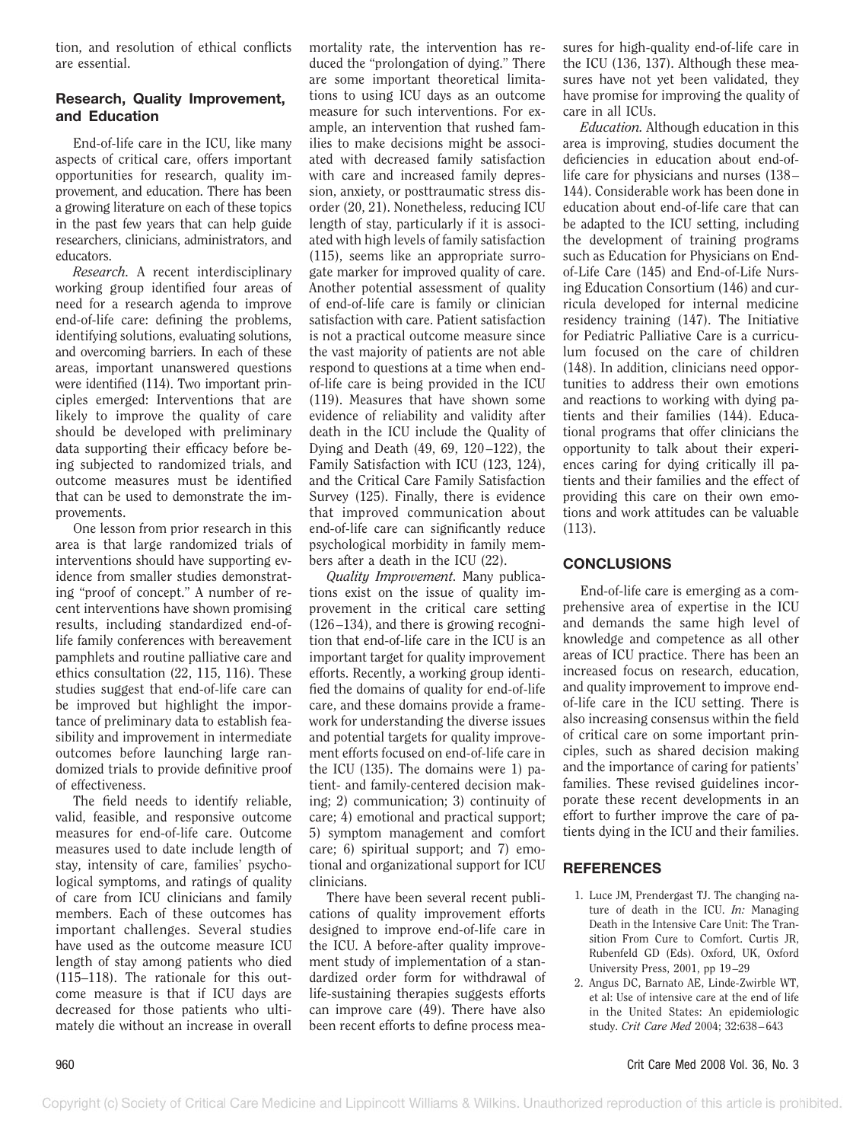tion, and resolution of ethical conflicts are essential.

## **Research, Quality Improvement, and Education**

End-of-life care in the ICU, like many aspects of critical care, offers important opportunities for research, quality improvement, and education. There has been a growing literature on each of these topics in the past few years that can help guide researchers, clinicians, administrators, and educators.

*Research.* A recent interdisciplinary working group identified four areas of need for a research agenda to improve end-of-life care: defining the problems, identifying solutions, evaluating solutions, and overcoming barriers. In each of these areas, important unanswered questions were identified (114). Two important principles emerged: Interventions that are likely to improve the quality of care should be developed with preliminary data supporting their efficacy before being subjected to randomized trials, and outcome measures must be identified that can be used to demonstrate the improvements.

One lesson from prior research in this area is that large randomized trials of interventions should have supporting evidence from smaller studies demonstrating "proof of concept." A number of recent interventions have shown promising results, including standardized end-oflife family conferences with bereavement pamphlets and routine palliative care and ethics consultation (22, 115, 116). These studies suggest that end-of-life care can be improved but highlight the importance of preliminary data to establish feasibility and improvement in intermediate outcomes before launching large randomized trials to provide definitive proof of effectiveness.

The field needs to identify reliable, valid, feasible, and responsive outcome measures for end-of-life care. Outcome measures used to date include length of stay, intensity of care, families' psychological symptoms, and ratings of quality of care from ICU clinicians and family members. Each of these outcomes has important challenges. Several studies have used as the outcome measure ICU length of stay among patients who died (115–118). The rationale for this outcome measure is that if ICU days are decreased for those patients who ultimately die without an increase in overall mortality rate, the intervention has reduced the "prolongation of dying." There are some important theoretical limitations to using ICU days as an outcome measure for such interventions. For example, an intervention that rushed families to make decisions might be associated with decreased family satisfaction with care and increased family depression, anxiety, or posttraumatic stress disorder (20, 21). Nonetheless, reducing ICU length of stay, particularly if it is associated with high levels of family satisfaction (115), seems like an appropriate surrogate marker for improved quality of care. Another potential assessment of quality of end-of-life care is family or clinician satisfaction with care. Patient satisfaction is not a practical outcome measure since the vast majority of patients are not able respond to questions at a time when endof-life care is being provided in the ICU (119). Measures that have shown some evidence of reliability and validity after death in the ICU include the Quality of Dying and Death  $(49, 69, 120 - 122)$ , the Family Satisfaction with ICU (123, 124), and the Critical Care Family Satisfaction Survey (125). Finally, there is evidence that improved communication about end-of-life care can significantly reduce psychological morbidity in family members after a death in the ICU (22).

*Quality Improvement.* Many publications exist on the issue of quality improvement in the critical care setting  $(126-134)$ , and there is growing recognition that end-of-life care in the ICU is an important target for quality improvement efforts. Recently, a working group identified the domains of quality for end-of-life care, and these domains provide a framework for understanding the diverse issues and potential targets for quality improvement efforts focused on end-of-life care in the ICU (135). The domains were 1) patient- and family-centered decision making; 2) communication; 3) continuity of care; 4) emotional and practical support; 5) symptom management and comfort care; 6) spiritual support; and 7) emotional and organizational support for ICU clinicians.

There have been several recent publications of quality improvement efforts designed to improve end-of-life care in the ICU. A before-after quality improvement study of implementation of a standardized order form for withdrawal of life-sustaining therapies suggests efforts can improve care (49). There have also been recent efforts to define process measures for high-quality end-of-life care in the ICU (136, 137). Although these measures have not yet been validated, they have promise for improving the quality of care in all ICUs.

*Education.* Although education in this area is improving, studies document the deficiencies in education about end-oflife care for physicians and nurses (138 – 144). Considerable work has been done in education about end-of-life care that can be adapted to the ICU setting, including the development of training programs such as Education for Physicians on Endof-Life Care (145) and End-of-Life Nursing Education Consortium (146) and curricula developed for internal medicine residency training (147). The Initiative for Pediatric Palliative Care is a curriculum focused on the care of children (148). In addition, clinicians need opportunities to address their own emotions and reactions to working with dying patients and their families (144). Educational programs that offer clinicians the opportunity to talk about their experiences caring for dying critically ill patients and their families and the effect of providing this care on their own emotions and work attitudes can be valuable (113).

### **CONCLUSIONS**

End-of-life care is emerging as a comprehensive area of expertise in the ICU and demands the same high level of knowledge and competence as all other areas of ICU practice. There has been an increased focus on research, education, and quality improvement to improve endof-life care in the ICU setting. There is also increasing consensus within the field of critical care on some important principles, such as shared decision making and the importance of caring for patients' families. These revised guidelines incorporate these recent developments in an effort to further improve the care of patients dying in the ICU and their families.

## **REFERENCES**

- 1. Luce JM, Prendergast TJ. The changing nature of death in the ICU. *In:* Managing Death in the Intensive Care Unit: The Transition From Cure to Comfort. Curtis JR, Rubenfeld GD (Eds). Oxford, UK, Oxford University Press, 2001, pp 19 –29
- 2. Angus DC, Barnato AE, Linde-Zwirble WT, et al: Use of intensive care at the end of life in the United States: An epidemiologic study. *Crit Care Med* 2004; 32:638 – 643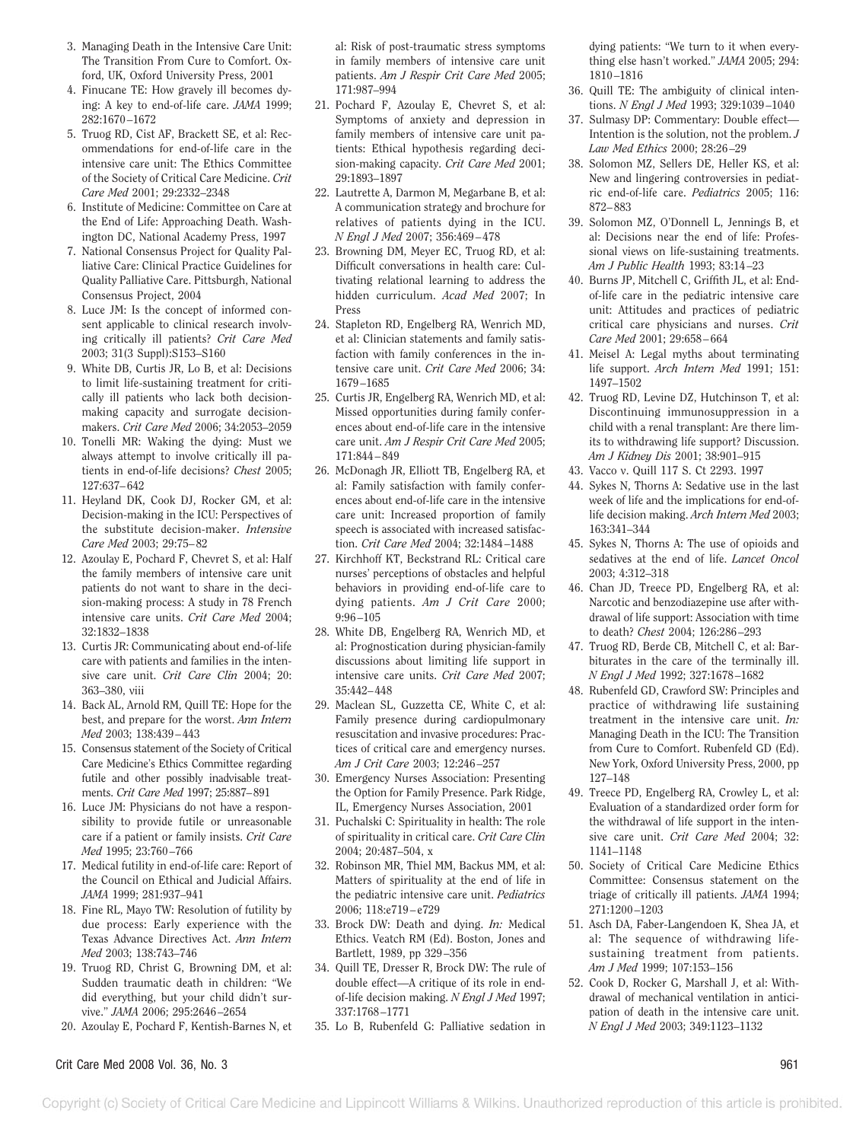- 3. Managing Death in the Intensive Care Unit: The Transition From Cure to Comfort. Oxford, UK, Oxford University Press, 2001
- 4. Finucane TE: How gravely ill becomes dying: A key to end-of-life care. *JAMA* 1999; 282:1670 –1672
- 5. Truog RD, Cist AF, Brackett SE, et al: Recommendations for end-of-life care in the intensive care unit: The Ethics Committee of the Society of Critical Care Medicine. *Crit Care Med* 2001; 29:2332–2348
- 6. Institute of Medicine: Committee on Care at the End of Life: Approaching Death. Washington DC, National Academy Press, 1997
- 7. National Consensus Project for Quality Palliative Care: Clinical Practice Guidelines for Quality Palliative Care. Pittsburgh, National Consensus Project, 2004
- 8. Luce JM: Is the concept of informed consent applicable to clinical research involving critically ill patients? *Crit Care Med* 2003; 31(3 Suppl):S153–S160
- 9. White DB, Curtis JR, Lo B, et al: Decisions to limit life-sustaining treatment for critically ill patients who lack both decisionmaking capacity and surrogate decisionmakers. *Crit Care Med* 2006; 34:2053–2059
- 10. Tonelli MR: Waking the dying: Must we always attempt to involve critically ill patients in end-of-life decisions? *Chest* 2005; 127:637– 642
- 11. Heyland DK, Cook DJ, Rocker GM, et al: Decision-making in the ICU: Perspectives of the substitute decision-maker. *Intensive Care Med* 2003; 29:75– 82
- 12. Azoulay E, Pochard F, Chevret S, et al: Half the family members of intensive care unit patients do not want to share in the decision-making process: A study in 78 French intensive care units. *Crit Care Med* 2004; 32:1832–1838
- 13. Curtis JR: Communicating about end-of-life care with patients and families in the intensive care unit. *Crit Care Clin* 2004; 20: 363–380, viii
- 14. Back AL, Arnold RM, Quill TE: Hope for the best, and prepare for the worst. *Ann Intern Med* 2003; 138:439 – 443
- 15. Consensus statement of the Society of Critical Care Medicine's Ethics Committee regarding futile and other possibly inadvisable treatments. *Crit Care Med* 1997; 25:887– 891
- 16. Luce JM: Physicians do not have a responsibility to provide futile or unreasonable care if a patient or family insists. *Crit Care Med* 1995; 23:760 –766
- 17. Medical futility in end-of-life care: Report of the Council on Ethical and Judicial Affairs. *JAMA* 1999; 281:937–941
- 18. Fine RL, Mayo TW: Resolution of futility by due process: Early experience with the Texas Advance Directives Act. *Ann Intern Med* 2003; 138:743–746
- 19. Truog RD, Christ G, Browning DM, et al: Sudden traumatic death in children: "We did everything, but your child didn't survive." *JAMA* 2006; 295:2646 –2654
- 20. Azoulay E, Pochard F, Kentish-Barnes N, et

al: Risk of post-traumatic stress symptoms in family members of intensive care unit patients. *Am J Respir Crit Care Med* 2005; 171:987–994

- 21. Pochard F, Azoulay E, Chevret S, et al: Symptoms of anxiety and depression in family members of intensive care unit patients: Ethical hypothesis regarding decision-making capacity. *Crit Care Med* 2001; 29:1893–1897
- 22. Lautrette A, Darmon M, Megarbane B, et al: A communication strategy and brochure for relatives of patients dying in the ICU. *N Engl J Med* 2007; 356:469 – 478
- 23. Browning DM, Meyer EC, Truog RD, et al: Difficult conversations in health care: Cultivating relational learning to address the hidden curriculum. *Acad Med* 2007; In Press
- 24. Stapleton RD, Engelberg RA, Wenrich MD, et al: Clinician statements and family satisfaction with family conferences in the intensive care unit. *Crit Care Med* 2006; 34: 1679 –1685
- 25. Curtis JR, Engelberg RA, Wenrich MD, et al: Missed opportunities during family conferences about end-of-life care in the intensive care unit. *Am J Respir Crit Care Med* 2005; 171:844 – 849
- 26. McDonagh JR, Elliott TB, Engelberg RA, et al: Family satisfaction with family conferences about end-of-life care in the intensive care unit: Increased proportion of family speech is associated with increased satisfaction. *Crit Care Med* 2004; 32:1484 –1488
- 27. Kirchhoff KT, Beckstrand RL: Critical care nurses' perceptions of obstacles and helpful behaviors in providing end-of-life care to dying patients. *Am J Crit Care* 2000; 9:96 –105
- 28. White DB, Engelberg RA, Wenrich MD, et al: Prognostication during physician-family discussions about limiting life support in intensive care units. *Crit Care Med* 2007; 35:442– 448
- 29. Maclean SL, Guzzetta CE, White C, et al: Family presence during cardiopulmonary resuscitation and invasive procedures: Practices of critical care and emergency nurses. *Am J Crit Care* 2003; 12:246 –257
- 30. Emergency Nurses Association: Presenting the Option for Family Presence. Park Ridge, IL, Emergency Nurses Association, 2001
- 31. Puchalski C: Spirituality in health: The role of spirituality in critical care. *Crit Care Clin* 2004; 20:487–504, x
- 32. Robinson MR, Thiel MM, Backus MM, et al: Matters of spirituality at the end of life in the pediatric intensive care unit. *Pediatrics* 2006; 118:e719 – e729
- 33. Brock DW: Death and dying. *In:* Medical Ethics. Veatch RM (Ed). Boston, Jones and Bartlett, 1989, pp 329 –356
- 34. Quill TE, Dresser R, Brock DW: The rule of double effect—A critique of its role in endof-life decision making. *N Engl J Med* 1997; 337:1768 –1771
- 35. Lo B, Rubenfeld G: Palliative sedation in

dying patients: "We turn to it when everything else hasn't worked." *JAMA* 2005; 294: 1810 –1816

- 36. Quill TE: The ambiguity of clinical intentions. *N Engl J Med* 1993; 329:1039 –1040
- 37. Sulmasy DP: Commentary: Double effect— Intention is the solution, not the problem. *J Law Med Ethics* 2000; 28:26 –29
- 38. Solomon MZ, Sellers DE, Heller KS, et al: New and lingering controversies in pediatric end-of-life care. *Pediatrics* 2005; 116: 872– 883
- 39. Solomon MZ, O'Donnell L, Jennings B, et al: Decisions near the end of life: Professional views on life-sustaining treatments. *Am J Public Health* 1993; 83:14 –23
- 40. Burns JP, Mitchell C, Griffith JL, et al: Endof-life care in the pediatric intensive care unit: Attitudes and practices of pediatric critical care physicians and nurses. *Crit Care Med* 2001; 29:658 – 664
- 41. Meisel A: Legal myths about terminating life support. *Arch Intern Med* 1991; 151: 1497–1502
- 42. Truog RD, Levine DZ, Hutchinson T, et al: Discontinuing immunosuppression in a child with a renal transplant: Are there limits to withdrawing life support? Discussion. *Am J Kidney Dis* 2001; 38:901–915
- 43. Vacco v. Quill 117 S. Ct 2293. 1997
- 44. Sykes N, Thorns A: Sedative use in the last week of life and the implications for end-oflife decision making. *Arch Intern Med* 2003; 163:341–344
- 45. Sykes N, Thorns A: The use of opioids and sedatives at the end of life. *Lancet Oncol* 2003; 4:312–318
- 46. Chan JD, Treece PD, Engelberg RA, et al: Narcotic and benzodiazepine use after withdrawal of life support: Association with time to death? *Chest* 2004; 126:286 –293
- 47. Truog RD, Berde CB, Mitchell C, et al: Barbiturates in the care of the terminally ill. *N Engl J Med* 1992; 327:1678 –1682
- 48. Rubenfeld GD, Crawford SW: Principles and practice of withdrawing life sustaining treatment in the intensive care unit. *In:* Managing Death in the ICU: The Transition from Cure to Comfort. Rubenfeld GD (Ed). New York, Oxford University Press, 2000, pp 127–148
- 49. Treece PD, Engelberg RA, Crowley L, et al: Evaluation of a standardized order form for the withdrawal of life support in the intensive care unit. *Crit Care Med* 2004; 32: 1141–1148
- 50. Society of Critical Care Medicine Ethics Committee: Consensus statement on the triage of critically ill patients. *JAMA* 1994; 271:1200 –1203
- 51. Asch DA, Faber-Langendoen K, Shea JA, et al: The sequence of withdrawing lifesustaining treatment from patients. *Am J Med* 1999; 107:153–156
- 52. Cook D, Rocker G, Marshall J, et al: Withdrawal of mechanical ventilation in anticipation of death in the intensive care unit. *N Engl J Med* 2003; 349:1123–1132

Crit Care Med 2008 Vol. 36, No. 3 961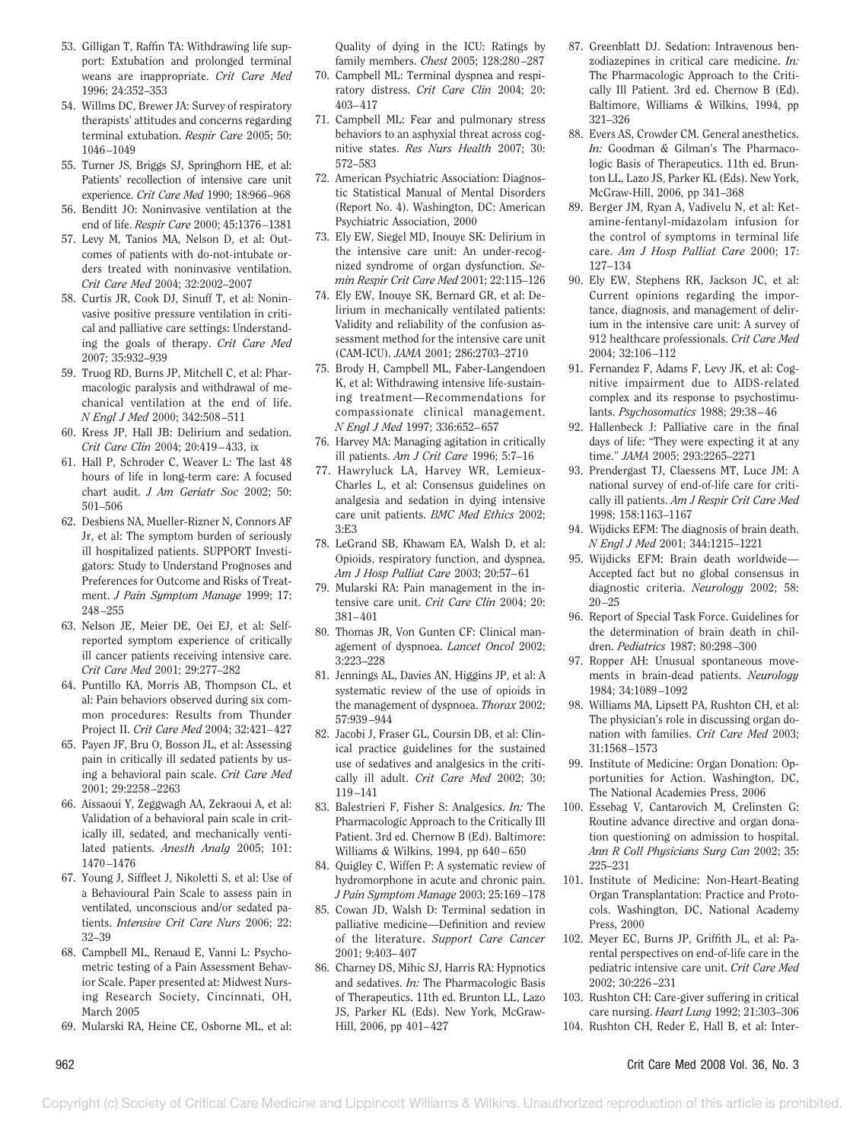- 53. Gilligan T, Raffin TA: Withdrawing life support: Extubation and prolonged terminal weans are inappropriate. *Crit Care Med* 1996; 24:352–353
- 54. Willms DC, Brewer JA: Survey of respiratory therapists' attitudes and concerns regarding terminal extubation. *Respir Care* 2005; 50: 1046 –1049
- 55. Turner JS, Briggs SJ, Springhorn HE, et al: Patients' recollection of intensive care unit experience. *Crit Care Med* 1990; 18:966 –968
- 56. Benditt JO: Noninvasive ventilation at the end of life. *Respir Care* 2000; 45:1376 –1381
- 57. Levy M, Tanios MA, Nelson D, et al: Outcomes of patients with do-not-intubate orders treated with noninvasive ventilation. *Crit Care Med* 2004; 32:2002–2007
- 58. Curtis JR, Cook DJ, Sinuff T, et al: Noninvasive positive pressure ventilation in critical and palliative care settings: Understanding the goals of therapy. *Crit Care Med* 2007; 35:932–939
- 59. Truog RD, Burns JP, Mitchell C, et al: Pharmacologic paralysis and withdrawal of mechanical ventilation at the end of life. *N Engl J Med* 2000; 342:508 –511
- 60. Kress JP, Hall JB: Delirium and sedation. *Crit Care Clin* 2004; 20:419 – 433, ix
- 61. Hall P, Schroder C, Weaver L: The last 48 hours of life in long-term care: A focused chart audit. *J Am Geriatr Soc* 2002; 50: 501–506
- 62. Desbiens NA, Mueller-Rizner N, Connors AF Jr, et al: The symptom burden of seriously ill hospitalized patients. SUPPORT Investigators: Study to Understand Prognoses and Preferences for Outcome and Risks of Treatment. *J Pain Symptom Manage* 1999; 17: 248 –255
- 63. Nelson JE, Meier DE, Oei EJ, et al: Selfreported symptom experience of critically ill cancer patients receiving intensive care. *Crit Care Med* 2001; 29:277–282
- 64. Puntillo KA, Morris AB, Thompson CL, et al: Pain behaviors observed during six common procedures: Results from Thunder Project II. *Crit Care Med* 2004; 32:421– 427
- 65. Payen JF, Bru O, Bosson JL, et al: Assessing pain in critically ill sedated patients by using a behavioral pain scale. *Crit Care Med* 2001; 29:2258 –2263
- 66. Aissaoui Y, Zeggwagh AA, Zekraoui A, et al: Validation of a behavioral pain scale in critically ill, sedated, and mechanically ventilated patients. *Anesth Analg* 2005; 101: 1470 –1476
- 67. Young J, Siffleet J, Nikoletti S, et al: Use of a Behavioural Pain Scale to assess pain in ventilated, unconscious and/or sedated patients. *Intensive Crit Care Nurs* 2006; 22: 32–39
- 68. Campbell ML, Renaud E, Vanni L: Psychometric testing of a Pain Assessment Behavior Scale. Paper presented at: Midwest Nursing Research Society, Cincinnati, OH, March 2005
- 69. Mularski RA, Heine CE, Osborne ML, et al:

Quality of dying in the ICU: Ratings by family members. *Chest* 2005; 128:280 –287

70. Campbell ML: Terminal dyspnea and respiratory distress. *Crit Care Clin* 2004; 20: 403– 417

- 71. Campbell ML: Fear and pulmonary stress behaviors to an asphyxial threat across cognitive states. *Res Nurs Health* 2007; 30: 572–583
- 72. American Psychiatric Association: Diagnostic Statistical Manual of Mental Disorders (Report No. 4). Washington, DC: American Psychiatric Association, 2000
- 73. Ely EW, Siegel MD, Inouye SK: Delirium in the intensive care unit: An under-recognized syndrome of organ dysfunction. *Semin Respir Crit Care Med* 2001; 22:115–126
- 74. Ely EW, Inouye SK, Bernard GR, et al: Delirium in mechanically ventilated patients: Validity and reliability of the confusion assessment method for the intensive care unit (CAM-ICU). *JAMA* 2001; 286:2703–2710
- 75. Brody H, Campbell ML, Faber-Langendoen K, et al: Withdrawing intensive life-sustaining treatment—Recommendations for compassionate clinical management. *N Engl J Med* 1997; 336:652– 657
- 76. Harvey MA: Managing agitation in critically ill patients. *Am J Crit Care* 1996; 5:7–16
- 77. Hawryluck LA, Harvey WR, Lemieux-Charles L, et al: Consensus guidelines on analgesia and sedation in dying intensive care unit patients. *BMC Med Ethics* 2002; 3:E3
- 78. LeGrand SB, Khawam EA, Walsh D, et al: Opioids, respiratory function, and dyspnea. *Am J Hosp Palliat Care* 2003; 20:57– 61
- 79. Mularski RA: Pain management in the intensive care unit. *Crit Care Clin* 2004; 20: 381– 401
- 80. Thomas JR, Von Gunten CF: Clinical management of dyspnoea. *Lancet Oncol* 2002; 3:223–228
- 81. Jennings AL, Davies AN, Higgins JP, et al: A systematic review of the use of opioids in the management of dyspnoea. *Thorax* 2002; 57:939 –944
- 82. Jacobi J, Fraser GL, Coursin DB, et al: Clinical practice guidelines for the sustained use of sedatives and analgesics in the critically ill adult. *Crit Care Med* 2002; 30: 119 –141
- 83. Balestrieri F, Fisher S: Analgesics. *In:* The Pharmacologic Approach to the Critically Ill Patient. 3rd ed. Chernow B (Ed). Baltimore: Williams  $&$  Wilkins, 1994, pp 640-650
- 84. Quigley C, Wiffen P: A systematic review of hydromorphone in acute and chronic pain. *J Pain Symptom Manage* 2003; 25:169 –178
- 85. Cowan JD, Walsh D: Terminal sedation in palliative medicine—Definition and review of the literature. *Support Care Cancer* 2001; 9:403– 407
- 86. Charney DS, Mihic SJ, Harris RA: Hypnotics and sedatives. *In:* The Pharmacologic Basis of Therapeutics. 11th ed. Brunton LL, Lazo JS, Parker KL (Eds). New York, McGraw-Hill, 2006, pp 401-427
- 87. Greenblatt DJ. Sedation: Intravenous benzodiazepines in critical care medicine. *In:* The Pharmacologic Approach to the Critically Ill Patient. 3rd ed. Chernow B (Ed). Baltimore, Williams & Wilkins, 1994, pp 321–326
- 88. Evers AS, Crowder CM. General anesthetics. *In:* Goodman & Gilman's The Pharmacologic Basis of Therapeutics. 11th ed. Brunton LL, Lazo JS, Parker KL (Eds). New York, McGraw-Hill, 2006, pp 341–368
- 89. Berger JM, Ryan A, Vadivelu N, et al: Ketamine-fentanyl-midazolam infusion for the control of symptoms in terminal life care. *Am J Hosp Palliat Care* 2000; 17: 127–134
- 90. Ely EW, Stephens RK, Jackson JC, et al: Current opinions regarding the importance, diagnosis, and management of delirium in the intensive care unit: A survey of 912 healthcare professionals. *Crit Care Med* 2004; 32:106 –112
- 91. Fernandez F, Adams F, Levy JK, et al: Cognitive impairment due to AIDS-related complex and its response to psychostimulants. *Psychosomatics* 1988; 29:38 – 46
- 92. Hallenbeck J: Palliative care in the final days of life: "They were expecting it at any time." *JAMA* 2005; 293:2265–2271
- 93. Prendergast TJ, Claessens MT, Luce JM: A national survey of end-of-life care for critically ill patients. *Am J Respir Crit Care Med* 1998; 158:1163–1167
- 94. Wijdicks EFM: The diagnosis of brain death. *N Engl J Med* 2001; 344:1215–1221
- 95. Wijdicks EFM: Brain death worldwide— Accepted fact but no global consensus in diagnostic criteria. *Neurology* 2002; 58:  $20 - 25$
- 96. Report of Special Task Force. Guidelines for the determination of brain death in children. *Pediatrics* 1987; 80:298 –300
- 97. Ropper AH: Unusual spontaneous movements in brain-dead patients. *Neurology* 1984; 34:1089 –1092
- 98. Williams MA, Lipsett PA, Rushton CH, et al: The physician's role in discussing organ donation with families. *Crit Care Med* 2003; 31:1568 –1573
- 99. Institute of Medicine: Organ Donation: Opportunities for Action. Washington, DC, The National Academies Press, 2006
- 100. Essebag V, Cantarovich M, Crelinsten G: Routine advance directive and organ donation questioning on admission to hospital. *Ann R Coll Physicians Surg Can* 2002; 35: 225–231
- 101. Institute of Medicine: Non-Heart-Beating Organ Transplantation: Practice and Protocols. Washington, DC, National Academy Press, 2000
- 102. Meyer EC, Burns JP, Griffith JL, et al: Parental perspectives on end-of-life care in the pediatric intensive care unit. *Crit Care Med* 2002; 30:226 –231
- 103. Rushton CH: Care-giver suffering in critical care nursing. *Heart Lung* 1992; 21:303–306
- 104. Rushton CH, Reder E, Hall B, et al: Inter-